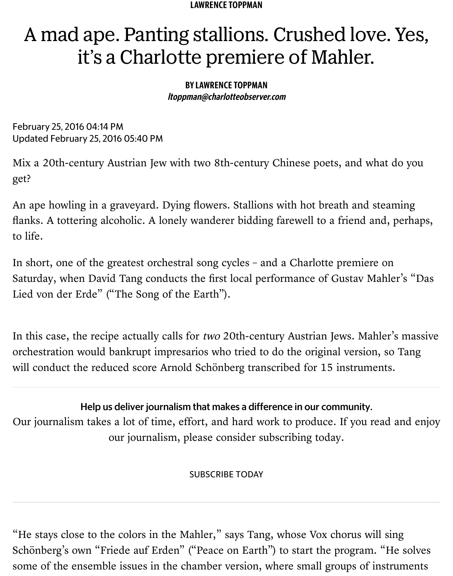#### B[Y LAWRENCE TOPPMA](http://www.charlotteobserver.com/entertainment/ent-columns-blogs/lawrence-toppman/)N ltoppman@charlotteobserver.com

February 25, 2016 04:14 PM Updated February 25, 2016 05:40 PM

Mix a 20th-century Austrian Jew with two 8th-century Chinese poets, and what get?

An ape howling in a graveyard. Dying flowers. Stallions with hot breath and ste flanks. A tottering alcoholic. A lonely wanderer bidding farewell to a friend and to life.

In short, one of the greatest orchestral song cycles - and a Charlotte premiere on Saturday, when David Tang conducts the first local performance of Gustav Mal Lied von der Erde" ("The Song of the Earth").

In this case, the recipe actually calls for two 20th-century Austrian Jews. Mahle orchestration would bankrupt impresarios who tried to do the original version, will conduct the reduced score Arnold Schönberg transcribed for 15 instrument

Help us deliver journalism that makes a difference in our community. Our journalism takes a lot of time, effort, and hard work to produce. If you rea

our journalism, please consider subscribing today.

SUBSCRIBE TODAY

"He stays close to the colors in the Mahler," says Tang, whose Vox chorus will Schönberg's own "Friede auf Erden" [\("Peace on Earth](https://account.charlotteobserver.com/subscribe/create?param=fHVFCEA=&cid=CTA_support)") to start the program. " some of the ensemble issues in the chamber version, where small groups of ins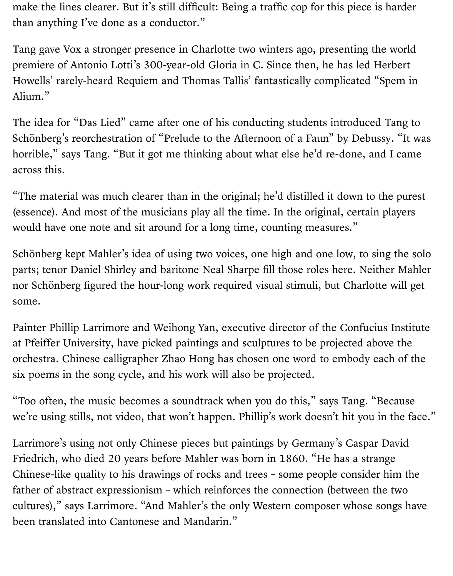make the lines clearer. But it's still difficult: Being a traffic cop for this piece is harder than anything I've done as a conductor."

Tang gave Vox a stronger presence in Charlotte two winters ago, presenting the world premiere of Antonio Lotti's 300-year-old Gloria in C. Since then, he has led Herbert Howells' rarely-heard Requiem and Thomas Tallis' fantastically complicated "Spem in Alium."

The idea for "Das Lied" came after one of his conducting students introduced Tang to Schönberg's reorchestration of "Prelude to the Afternoon of a Faun" by Debussy. "It was horrible," says Tang. "But it got me thinking about what else he'd re-done, and I came across this.

"The material was much clearer than in the original; he'd distilled it down to the purest (essence). And most of the musicians play all the time. In the original, certain players would have one note and sit around for a long time, counting measures."

Schönberg kept Mahler's idea of using two voices, one high and one low, to sing the solo parts; tenor Daniel Shirley and baritone Neal Sharpe fill those roles here. Neither Mahler nor Schönberg figured the hour-long work required visual stimuli, but Charlotte will get some.

Painter Phillip Larrimore and Weihong Yan, executive director of the Confucius Institute at Pfeiffer University, have picked paintings and sculptures to be projected above the orchestra. Chinese calligrapher Zhao Hong has chosen one word to embody each of the six poems in the song cycle, and his work will also be projected.

"Too often, the music becomes a soundtrack when you do this," says Tang. "Because we're using stills, not video, that won't happen. Phillip's work doesn't hit you in the face."

Larrimore's using not only Chinese pieces but paintings by Germany's Caspar David Friedrich, who died 20 years before Mahler was born in 1860. "He has a strange Chinese-like quality to his drawings of rocks and trees – some people consider him the father of abstract expressionism – which reinforces the connection (between the two cultures)," says Larrimore. "And Mahler's the only Western composer whose songs have been translated into Cantonese and Mandarin."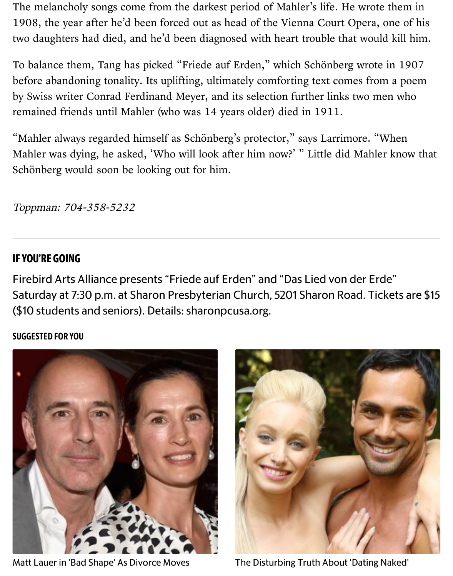before abandoning tonality. Its uplifting, ultimately comforting text comes from by Swiss writer Conrad Ferdinand Meyer, and its selection further links two me remained friends until Mahler (who was 14 years older) died in 1911.

"Mahler always regarded himself as Schönberg's protector," says Larrimore. "V Mahler was dying, he asked, 'Who will look after him now?' " Little did Mahler Schönberg would soon be looking out for him.

Toppman: 704-358-5232

### **IF YOU'RE GOING**

Firebird Arts Alliance presents "Friede auf Erden" and "Das Lied von der Erd Saturday at 7:30 p.m. at Sharon Presbyterian Church, 5201 Sharon Road. Ticl (\$10 students and seniors). Details: sharonpcusa.org.

#### SUGGESTED FOR YOU



[Matt Lauer in 'Bad Shape' As Divorce Moves](http://www.zergnet.com/i/2823676/53322/0/0/0/1) The Disturbing Truth About 'Dating N

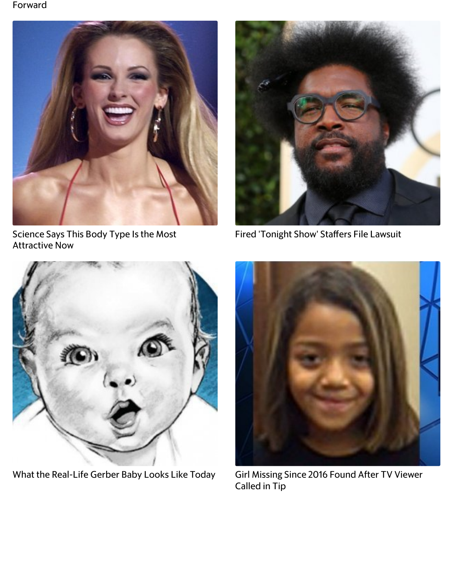

[Science Says This Body Type Is the Most](http://www.zergnet.com/i/2665741/53322/0/0/0/3) Attractive Now



[Fired 'Tonight Show' Sta](http://www.zergnet.com/i/2495760/53322/0/0/0/4)ffers File Law



[What the Real-Life Gerber Baby Looks Like Today](http://www.zergnet.com/i/2825562/53322/0/0/0/5) Girl Missing Since 2016 Found After T



Called in Tip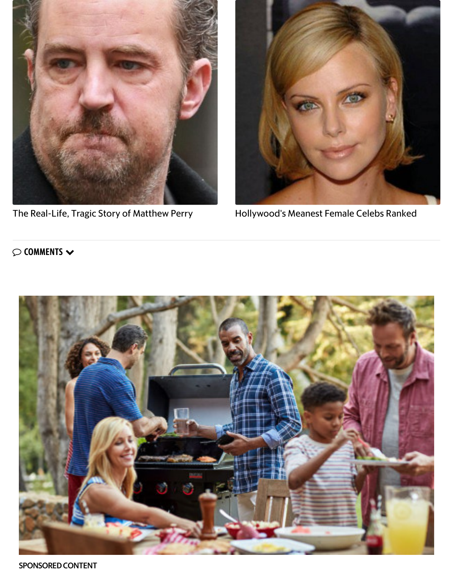

[The Real-Life, Tragic Story of Matthew Perry](http://www.zergnet.com/i/2829609/53322/0/0/0/7) **Hollywood's Meanest Female Celebs** 



#### $\heartsuit$  comments  $\blacktriangledown$



SPONSORED CONTENT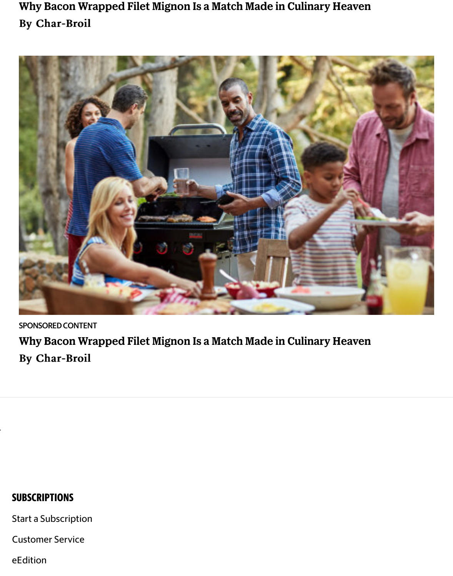

SPONSORED CONTENT Why Bacon Wrapped Filet Mignon Is a Match Made in Culinary Heaven By Char-Broil

### **SUBSCRIPTIONS**

Start a Subscription

[Customer Service](http://www.charlotteobserver.com/)

eEdition